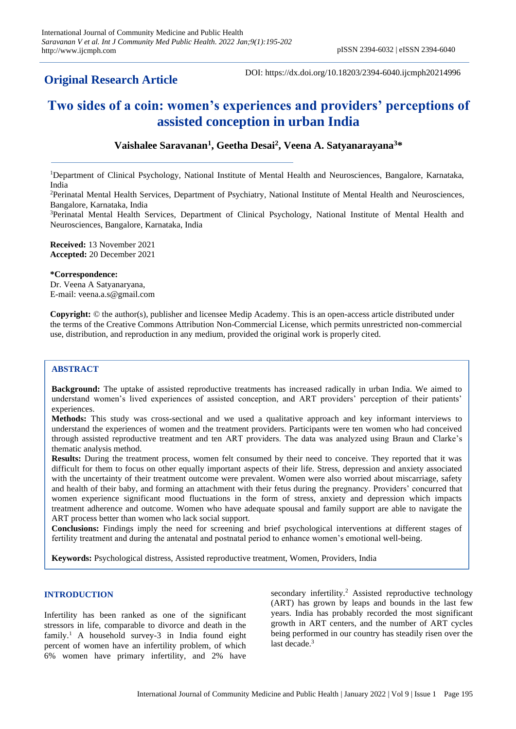# **Original Research Article**

DOI: https://dx.doi.org/10.18203/2394-6040.ijcmph20214996

# **Two sides of a coin: women's experiences and providers' perceptions of assisted conception in urban India**

# **Vaishalee Saravanan<sup>1</sup> , Geetha Desai<sup>2</sup> , Veena A. Satyanarayana<sup>3</sup>\***

<sup>1</sup>Department of Clinical Psychology, National Institute of Mental Health and Neurosciences, Bangalore, Karnataka, India

<sup>2</sup>Perinatal Mental Health Services, Department of Psychiatry, National Institute of Mental Health and Neurosciences, Bangalore, Karnataka, India

<sup>3</sup>Perinatal Mental Health Services, Department of Clinical Psychology, National Institute of Mental Health and Neurosciences, Bangalore, Karnataka, India

**Received:** 13 November 2021 **Accepted:** 20 December 2021

#### **\*Correspondence:**

Dr. Veena A Satyanaryana, E-mail: veena.a.s@gmail.com

**Copyright:** © the author(s), publisher and licensee Medip Academy. This is an open-access article distributed under the terms of the Creative Commons Attribution Non-Commercial License, which permits unrestricted non-commercial use, distribution, and reproduction in any medium, provided the original work is properly cited.

#### **ABSTRACT**

**Background:** The uptake of assisted reproductive treatments has increased radically in urban India. We aimed to understand women's lived experiences of assisted conception, and ART providers' perception of their patients' experiences.

**Methods:** This study was cross-sectional and we used a qualitative approach and key informant interviews to understand the experiences of women and the treatment providers. Participants were ten women who had conceived through assisted reproductive treatment and ten ART providers. The data was analyzed using Braun and Clarke's thematic analysis method.

Results: During the treatment process, women felt consumed by their need to conceive. They reported that it was difficult for them to focus on other equally important aspects of their life. Stress, depression and anxiety associated with the uncertainty of their treatment outcome were prevalent. Women were also worried about miscarriage, safety and health of their baby, and forming an attachment with their fetus during the pregnancy. Providers' concurred that women experience significant mood fluctuations in the form of stress, anxiety and depression which impacts treatment adherence and outcome. Women who have adequate spousal and family support are able to navigate the ART process better than women who lack social support.

**Conclusions:** Findings imply the need for screening and brief psychological interventions at different stages of fertility treatment and during the antenatal and postnatal period to enhance women's emotional well-being.

**Keywords:** Psychological distress, Assisted reproductive treatment, Women, Providers, India

#### **INTRODUCTION**

Infertility has been ranked as one of the significant stressors in life, comparable to divorce and death in the family.<sup>1</sup> A household survey-3 in India found eight percent of women have an infertility problem, of which 6% women have primary infertility, and 2% have

secondary infertility.<sup>2</sup> Assisted reproductive technology (ART) has grown by leaps and bounds in the last few years. India has probably recorded the most significant growth in ART centers, and the number of ART cycles being performed in our country has steadily risen over the last decade.<sup>3</sup>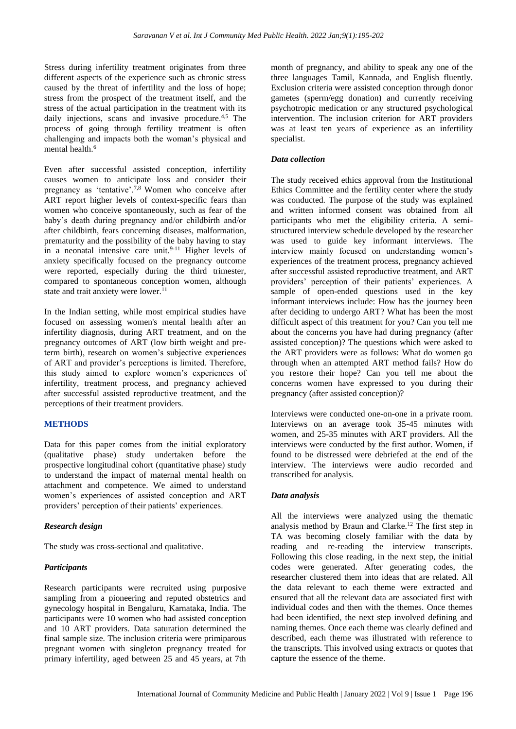Stress during infertility treatment originates from three different aspects of the experience such as chronic stress caused by the threat of infertility and the loss of hope; stress from the prospect of the treatment itself, and the stress of the actual participation in the treatment with its daily injections, scans and invasive procedure.<sup>4,5</sup> The process of going through fertility treatment is often challenging and impacts both the woman's physical and mental health.<sup>6</sup>

Even after successful assisted conception, infertility causes women to anticipate loss and consider their pregnancy as 'tentative'.<sup>7,8</sup> Women who conceive after ART report higher levels of context-specific fears than women who conceive spontaneously, such as fear of the baby's death during pregnancy and/or childbirth and/or after childbirth, fears concerning diseases, malformation, prematurity and the possibility of the baby having to stay in a neonatal intensive care unit. $9-11$  Higher levels of anxiety specifically focused on the pregnancy outcome were reported, especially during the third trimester, compared to spontaneous conception women, although state and trait anxiety were lower. $11$ 

In the Indian setting, while most empirical studies have focused on assessing women's mental health after an infertility diagnosis, during ART treatment, and on the pregnancy outcomes of ART (low birth weight and preterm birth), research on women's subjective experiences of ART and provider's perceptions is limited. Therefore, this study aimed to explore women's experiences of infertility, treatment process, and pregnancy achieved after successful assisted reproductive treatment, and the perceptions of their treatment providers.

# **METHODS**

Data for this paper comes from the initial exploratory (qualitative phase) study undertaken before the prospective longitudinal cohort (quantitative phase) study to understand the impact of maternal mental health on attachment and competence. We aimed to understand women's experiences of assisted conception and ART providers' perception of their patients' experiences.

#### *Research design*

The study was cross-sectional and qualitative.

# *Participants*

Research participants were recruited using purposive sampling from a pioneering and reputed obstetrics and gynecology hospital in Bengaluru, Karnataka, India. The participants were 10 women who had assisted conception and 10 ART providers. Data saturation determined the final sample size. The inclusion criteria were primiparous pregnant women with singleton pregnancy treated for primary infertility, aged between 25 and 45 years, at 7th

month of pregnancy, and ability to speak any one of the three languages Tamil, Kannada, and English fluently. Exclusion criteria were assisted conception through donor gametes (sperm/egg donation) and currently receiving psychotropic medication or any structured psychological intervention. The inclusion criterion for ART providers was at least ten years of experience as an infertility specialist.

### *Data collection*

The study received ethics approval from the Institutional Ethics Committee and the fertility center where the study was conducted. The purpose of the study was explained and written informed consent was obtained from all participants who met the eligibility criteria. A semistructured interview schedule developed by the researcher was used to guide key informant interviews. The interview mainly focused on understanding women's experiences of the treatment process, pregnancy achieved after successful assisted reproductive treatment, and ART providers' perception of their patients' experiences. A sample of open-ended questions used in the key informant interviews include: How has the journey been after deciding to undergo ART? What has been the most difficult aspect of this treatment for you? Can you tell me about the concerns you have had during pregnancy (after assisted conception)? The questions which were asked to the ART providers were as follows: What do women go through when an attempted ART method fails? How do you restore their hope? Can you tell me about the concerns women have expressed to you during their pregnancy (after assisted conception)?

Interviews were conducted one-on-one in a private room. Interviews on an average took 35-45 minutes with women, and 25-35 minutes with ART providers. All the interviews were conducted by the first author. Women, if found to be distressed were debriefed at the end of the interview. The interviews were audio recorded and transcribed for analysis.

# *Data analysis*

All the interviews were analyzed using the thematic analysis method by Braun and Clarke.<sup>12</sup> The first step in TA was becoming closely familiar with the data by reading and re-reading the interview transcripts. Following this close reading, in the next step, the initial codes were generated. After generating codes, the researcher clustered them into ideas that are related. All the data relevant to each theme were extracted and ensured that all the relevant data are associated first with individual codes and then with the themes. Once themes had been identified, the next step involved defining and naming themes. Once each theme was clearly defined and described, each theme was illustrated with reference to the transcripts. This involved using extracts or quotes that capture the essence of the theme.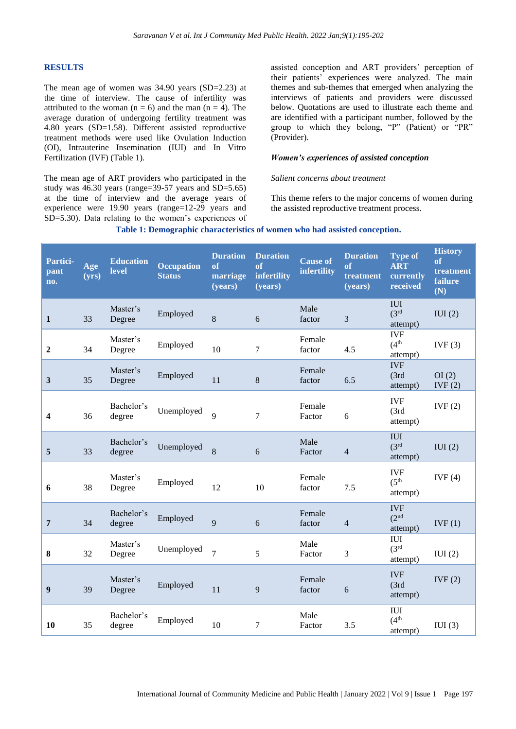#### **RESULTS**

The mean age of women was 34.90 years (SD=2.23) at the time of interview. The cause of infertility was attributed to the woman  $(n = 6)$  and the man  $(n = 4)$ . The average duration of undergoing fertility treatment was 4.80 years (SD=1.58). Different assisted reproductive treatment methods were used like Ovulation Induction (OI), Intrauterine Insemination (IUI) and In Vitro Fertilization (IVF) (Table 1).

The mean age of ART providers who participated in the study was 46.30 years (range=39-57 years and SD=5.65) at the time of interview and the average years of experience were 19.90 years (range=12-29 years and SD=5.30). Data relating to the women's experiences of

assisted conception and ART providers' perception of their patients' experiences were analyzed. The main themes and sub-themes that emerged when analyzing the interviews of patients and providers were discussed below. Quotations are used to illustrate each theme and are identified with a participant number, followed by the group to which they belong, "P" (Patient) or "PR" (Provider).

#### *Women's experiences of assisted conception*

#### *Salient concerns about treatment*

This theme refers to the major concerns of women during the assisted reproductive treatment process.

#### **Table 1: Demographic characteristics of women who had assisted conception.**

| Partici-<br>pant<br>no. | Age<br>(yrs) | <b>Education</b><br>level | <b>Occupation</b><br><b>Status</b> | <b>Duration</b><br>of<br>marriage<br>(years) | <b>Duration</b><br>of<br>infertility<br>(years) | <b>Cause of</b><br>infertility | <b>Duration</b><br><b>of</b><br>treatment<br>(years) | <b>Type of</b><br><b>ART</b><br>currently<br>received | <b>History</b><br>of<br>treatment<br>failure<br>(N) |
|-------------------------|--------------|---------------------------|------------------------------------|----------------------------------------------|-------------------------------------------------|--------------------------------|------------------------------------------------------|-------------------------------------------------------|-----------------------------------------------------|
| $\mathbf{1}$            | 33           | Master's<br>Degree        | Employed                           | 8                                            | 6                                               | Male<br>factor                 | 3                                                    | <b>IUI</b><br>(3 <sup>rd</sup> )<br>attempt)          | IUI(2)                                              |
| $\boldsymbol{2}$        | 34           | Master's<br>Degree        | Employed                           | 10                                           | $\tau$                                          | Female<br>factor               | 4.5                                                  | <b>IVF</b><br>(4 <sup>th</sup> )<br>attempt)          | IVF(3)                                              |
| 3                       | 35           | Master's<br>Degree        | Employed                           | 11                                           | $\,8\,$                                         | Female<br>factor               | 6.5                                                  | <b>IVF</b><br>(3rd)<br>attempt)                       | OI(2)<br>IVF(2)                                     |
| 4                       | 36           | Bachelor's<br>degree      | Unemployed                         | $\overline{Q}$                               | $\overline{7}$                                  | Female<br>Factor               | 6                                                    | <b>IVF</b><br>(3rd)<br>attempt)                       | IVF(2)                                              |
| 5                       | 33           | Bachelor's<br>degree      | Unemployed                         | 8                                            | 6                                               | Male<br>Factor                 | 4                                                    | <b>IUI</b><br>(3 <sup>rd</sup> )<br>attempt)          | IUI(2)                                              |
| 6                       | 38           | Master's<br>Degree        | Employed                           | 12                                           | 10                                              | Female<br>factor               | 7.5                                                  | <b>IVF</b><br>(5 <sup>th</sup> )<br>attempt)          | IVF(4)                                              |
| 7                       | 34           | Bachelor's<br>degree      | Employed                           | 9                                            | 6                                               | Female<br>factor               | 4                                                    | <b>IVF</b><br>(2 <sup>nd</sup><br>attempt)            | IVF(1)                                              |
| 8                       | 32           | Master's<br>Degree        | Unemployed                         | $\overline{7}$                               | 5                                               | Male<br>Factor                 | 3                                                    | <b>IUI</b><br>(3 <sup>rd</sup> )<br>attempt)          | IUI(2)                                              |
| 9                       | 39           | Master's<br>Degree        | Employed                           | 11                                           | 9                                               | Female<br>factor               | 6                                                    | <b>IVF</b><br>(3rd)<br>attempt)                       | IVF(2)                                              |
| 10                      | 35           | Bachelor's<br>degree      | Employed                           | 10                                           | $\overline{7}$                                  | Male<br>Factor                 | 3.5                                                  | <b>IUI</b><br>(4 <sup>th</sup> )<br>attempt)          | IUI(3)                                              |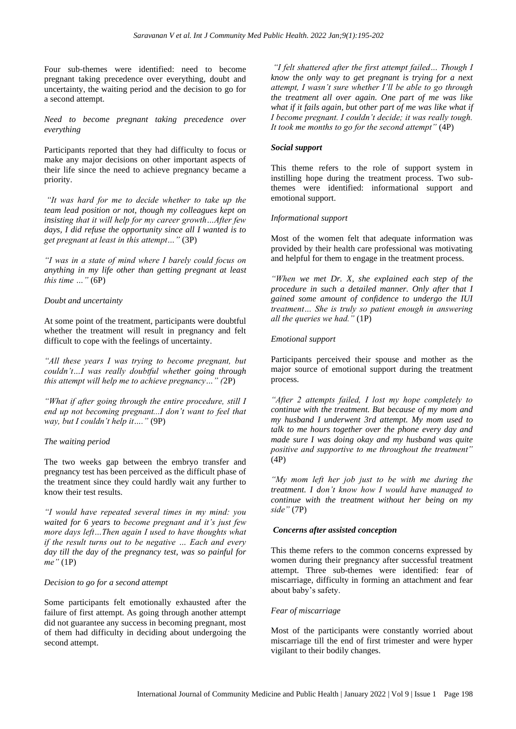Four sub-themes were identified: need to become pregnant taking precedence over everything, doubt and uncertainty, the waiting period and the decision to go for a second attempt.

*Need to become pregnant taking precedence over everything*

Participants reported that they had difficulty to focus or make any major decisions on other important aspects of their life since the need to achieve pregnancy became a priority.

*"It was hard for me to decide whether to take up the team lead position or not, though my colleagues kept on insisting that it will help for my career growth…After few days, I did refuse the opportunity since all I wanted is to get pregnant at least in this attempt…"* (3P)

*"I was in a state of mind where I barely could focus on anything in my life other than getting pregnant at least this time …"* (6P)

#### *Doubt and uncertainty*

At some point of the treatment, participants were doubtful whether the treatment will result in pregnancy and felt difficult to cope with the feelings of uncertainty.

*"All these years I was trying to become pregnant, but couldn't…I was really doubtful whether going through this attempt will help me to achieve pregnancy…" (*2P)

*"What if after going through the entire procedure, still I end up not becoming pregnant...I don't want to feel that way, but I couldn't help it…."* (9P)

# *The waiting period*

The two weeks gap between the embryo transfer and pregnancy test has been perceived as the difficult phase of the treatment since they could hardly wait any further to know their test results.

*"I would have repeated several times in my mind: you waited for 6 years to become pregnant and it's just few more days left…Then again I used to have thoughts what if the result turns out to be negative … Each and every day till the day of the pregnancy test, was so painful for me"* (1P)

#### *Decision to go for a second attempt*

Some participants felt emotionally exhausted after the failure of first attempt. As going through another attempt did not guarantee any success in becoming pregnant, most of them had difficulty in deciding about undergoing the second attempt.

*"I felt shattered after the first attempt failed… Though I know the only way to get pregnant is trying for a next attempt, I wasn't sure whether I'll be able to go through the treatment all over again. One part of me was like what if it fails again, but other part of me was like what if I become pregnant. I couldn't decide; it was really tough. It took me months to go for the second attempt"* (4P)

#### *Social support*

This theme refers to the role of support system in instilling hope during the treatment process. Two subthemes were identified: informational support and emotional support.

#### *Informational support*

Most of the women felt that adequate information was provided by their health care professional was motivating and helpful for them to engage in the treatment process.

*"When we met Dr. X, she explained each step of the procedure in such a detailed manner. Only after that I gained some amount of confidence to undergo the IUI treatment… She is truly so patient enough in answering all the queries we had."* (1P)

#### *Emotional support*

Participants perceived their spouse and mother as the major source of emotional support during the treatment process.

*"After 2 attempts failed, I lost my hope completely to continue with the treatment. But because of my mom and my husband I underwent 3rd attempt. My mom used to talk to me hours together over the phone every day and made sure I was doing okay and my husband was quite positive and supportive to me throughout the treatment"* (4P)

*"My mom left her job just to be with me during the treatment. I don't know how I would have managed to continue with the treatment without her being on my side"* (7P)

#### *Concerns after assisted conception*

This theme refers to the common concerns expressed by women during their pregnancy after successful treatment attempt. Three sub-themes were identified: fear of miscarriage, difficulty in forming an attachment and fear about baby's safety.

#### *Fear of miscarriage*

Most of the participants were constantly worried about miscarriage till the end of first trimester and were hyper vigilant to their bodily changes.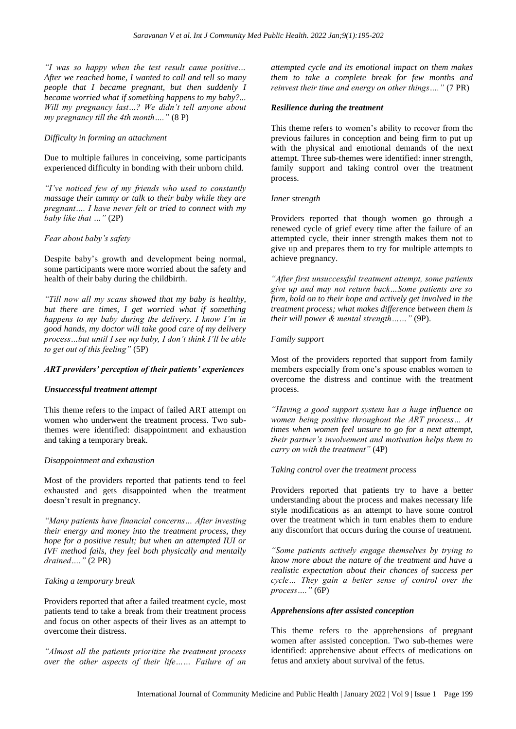*"I was so happy when the test result came positive… After we reached home, I wanted to call and tell so many people that I became pregnant, but then suddenly I became worried what if something happens to my baby?... Will my pregnancy last…? We didn't tell anyone about my pregnancy till the 4th month…."* (8 P)

#### *Difficulty in forming an attachment*

Due to multiple failures in conceiving, some participants experienced difficulty in bonding with their unborn child.

*"I've noticed few of my friends who used to constantly massage their tummy or talk to their baby while they are pregnant…. I have never felt or tried to connect with my baby like that …"* (2P)

#### *Fear about baby's safety*

Despite baby's growth and development being normal, some participants were more worried about the safety and health of their baby during the childbirth.

*"Till now all my scans showed that my baby is healthy, but there are times, I get worried what if something happens to my baby during the delivery. I know I'm in good hands, my doctor will take good care of my delivery process…but until I see my baby, I don't think I'll be able to get out of this feeling"* (5P)

#### *ART providers' perception of their patients' experiences*

#### *Unsuccessful treatment attempt*

This theme refers to the impact of failed ART attempt on women who underwent the treatment process. Two subthemes were identified: disappointment and exhaustion and taking a temporary break.

#### *Disappointment and exhaustion*

Most of the providers reported that patients tend to feel exhausted and gets disappointed when the treatment doesn't result in pregnancy.

*"Many patients have financial concerns… After investing their energy and money into the treatment process, they hope for a positive result; but when an attempted IUI or IVF method fails, they feel both physically and mentally drained…."* (2 PR)

#### *Taking a temporary break*

Providers reported that after a failed treatment cycle, most patients tend to take a break from their treatment process and focus on other aspects of their lives as an attempt to overcome their distress.

*"Almost all the patients prioritize the treatment process over the other aspects of their life…… Failure of an*  *attempted cycle and its emotional impact on them makes them to take a complete break for few months and reinvest their time and energy on other things…."* (7 PR)

## *Resilience during the treatment*

This theme refers to women's ability to recover from the previous failures in conception and being firm to put up with the physical and emotional demands of the next attempt. Three sub-themes were identified: inner strength, family support and taking control over the treatment process.

#### *Inner strength*

Providers reported that though women go through a renewed cycle of grief every time after the failure of an attempted cycle, their inner strength makes them not to give up and prepares them to try for multiple attempts to achieve pregnancy.

*"After first unsuccessful treatment attempt, some patients give up and may not return back…Some patients are so firm, hold on to their hope and actively get involved in the treatment process; what makes difference between them is their will power & mental strength……"* (9P).

# *Family support*

Most of the providers reported that support from family members especially from one's spouse enables women to overcome the distress and continue with the treatment process.

*"Having a good support system has a huge influence on women being positive throughout the ART process… At times when women feel unsure to go for a next attempt, their partner's involvement and motivation helps them to carry on with the treatment"* (4P)

#### *Taking control over the treatment process*

Providers reported that patients try to have a better understanding about the process and makes necessary life style modifications as an attempt to have some control over the treatment which in turn enables them to endure any discomfort that occurs during the course of treatment.

*"Some patients actively engage themselves by trying to know more about the nature of the treatment and have a realistic expectation about their chances of success per cycle… They gain a better sense of control over the process…."* (6P)

# *Apprehensions after assisted conception*

This theme refers to the apprehensions of pregnant women after assisted conception. Two sub-themes were identified: apprehensive about effects of medications on fetus and anxiety about survival of the fetus.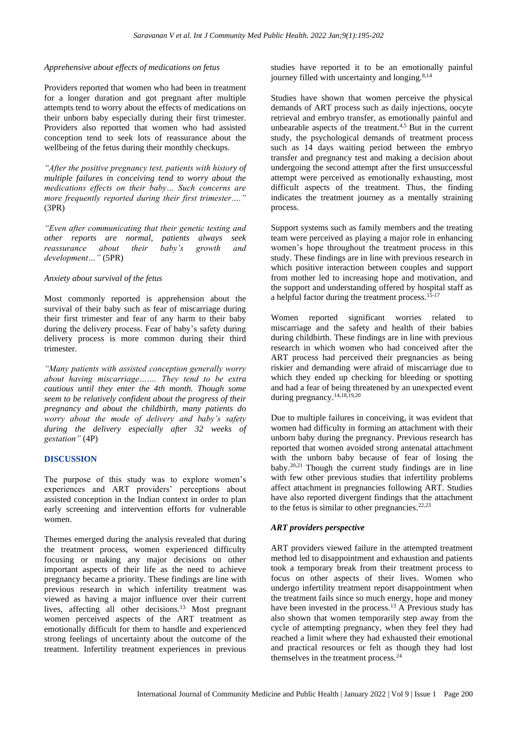#### *Apprehensive about effects of medications on fetus*

Providers reported that women who had been in treatment for a longer duration and got pregnant after multiple attempts tend to worry about the effects of medications on their unborn baby especially during their first trimester. Providers also reported that women who had assisted conception tend to seek lots of reassurance about the wellbeing of the fetus during their monthly checkups.

*"After the positive pregnancy test, patients with history of multiple failures in conceiving tend to worry about the medications effects on their baby… Such concerns are more frequently reported during their first trimester…."*  (3PR)

*"Even after communicating that their genetic testing and other reports are normal, patients always seek reassurance about their baby's growth and development…"* (5PR)

## *Anxiety about survival of the fetus*

Most commonly reported is apprehension about the survival of their baby such as fear of miscarriage during their first trimester and fear of any harm to their baby during the delivery process. Fear of baby's safety during delivery process is more common during their third trimester.

*"Many patients with assisted conception generally worry about having miscarriage……. They tend to be extra cautious until they enter the 4th month. Though some seem to be relatively confident about the progress of their pregnancy and about the childbirth, many patients do worry about the mode of delivery and baby's safety during the delivery especially after 32 weeks of gestation"* (4P)

# **DISCUSSION**

The purpose of this study was to explore women's experiences and ART providers' perceptions about assisted conception in the Indian context in order to plan early screening and intervention efforts for vulnerable women.

Themes emerged during the analysis revealed that during the treatment process, women experienced difficulty focusing or making any major decisions on other important aspects of their life as the need to achieve pregnancy became a priority. These findings are line with previous research in which infertility treatment was viewed as having a major influence over their current lives, affecting all other decisions.<sup>13</sup> Most pregnant women perceived aspects of the ART treatment as emotionally difficult for them to handle and experienced strong feelings of uncertainty about the outcome of the treatment. Infertility treatment experiences in previous

studies have reported it to be an emotionally painful journey filled with uncertainty and longing. $8,14$ 

Studies have shown that women perceive the physical demands of ART process such as daily injections, oocyte retrieval and embryo transfer, as emotionally painful and unbearable aspects of the treatment.4,5 But in the current study, the psychological demands of treatment process such as 14 days waiting period between the embryo transfer and pregnancy test and making a decision about undergoing the second attempt after the first unsuccessful attempt were perceived as emotionally exhausting, most difficult aspects of the treatment. Thus, the finding indicates the treatment journey as a mentally straining process.

Support systems such as family members and the treating team were perceived as playing a major role in enhancing women's hope throughout the treatment process in this study. These findings are in line with previous research in which positive interaction between couples and support from mother led to increasing hope and motivation, and the support and understanding offered by hospital staff as a helpful factor during the treatment process.15-17

Women reported significant worries related to miscarriage and the safety and health of their babies during childbirth. These findings are in line with previous research in which women who had conceived after the ART process had perceived their pregnancies as being riskier and demanding were afraid of miscarriage due to which they ended up checking for bleeding or spotting and had a fear of being threatened by an unexpected event during pregnancy.<sup>14,18,19,20</sup>

Due to multiple failures in conceiving, it was evident that women had difficulty in forming an attachment with their unborn baby during the pregnancy. Previous research has reported that women avoided strong antenatal attachment with the unborn baby because of fear of losing the baby.20,21 Though the current study findings are in line with few other previous studies that infertility problems affect attachment in pregnancies following ART. Studies have also reported divergent findings that the attachment to the fetus is similar to other pregnancies. $22,23$ 

# *ART providers perspective*

ART providers viewed failure in the attempted treatment method led to disappointment and exhaustion and patients took a temporary break from their treatment process to focus on other aspects of their lives. Women who undergo infertility treatment report disappointment when the treatment fails since so much energy, hope and money have been invested in the process.<sup>13</sup> A Previous study has also shown that women temporarily step away from the cycle of attempting pregnancy, when they feel they had reached a limit where they had exhausted their emotional and practical resources or felt as though they had lost themselves in the treatment process.<sup>24</sup>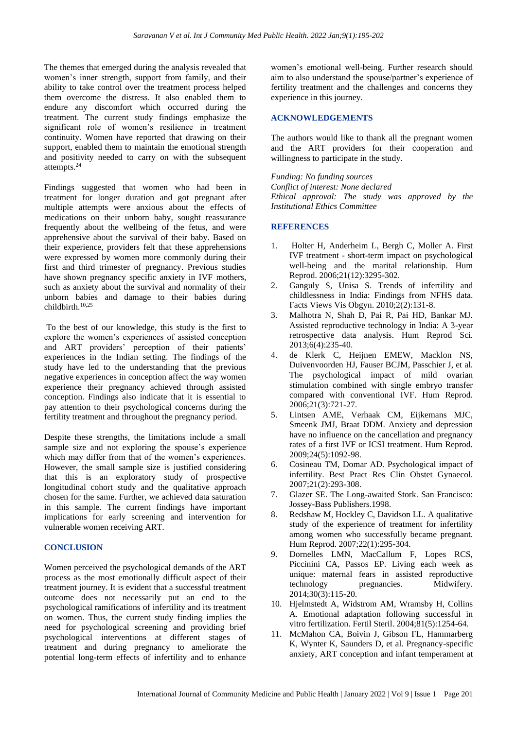The themes that emerged during the analysis revealed that women's inner strength, support from family, and their ability to take control over the treatment process helped them overcome the distress. It also enabled them to endure any discomfort which occurred during the treatment. The current study findings emphasize the significant role of women's resilience in treatment continuity. Women have reported that drawing on their support, enabled them to maintain the emotional strength and positivity needed to carry on with the subsequent attempts.<sup>24</sup>

Findings suggested that women who had been in treatment for longer duration and got pregnant after multiple attempts were anxious about the effects of medications on their unborn baby, sought reassurance frequently about the wellbeing of the fetus, and were apprehensive about the survival of their baby. Based on their experience, providers felt that these apprehensions were expressed by women more commonly during their first and third trimester of pregnancy. Previous studies have shown pregnancy specific anxiety in IVF mothers, such as anxiety about the survival and normality of their unborn babies and damage to their babies during childbirth. $10,25$ 

To the best of our knowledge, this study is the first to explore the women's experiences of assisted conception and ART providers' perception of their patients' experiences in the Indian setting. The findings of the study have led to the understanding that the previous negative experiences in conception affect the way women experience their pregnancy achieved through assisted conception. Findings also indicate that it is essential to pay attention to their psychological concerns during the fertility treatment and throughout the pregnancy period.

Despite these strengths, the limitations include a small sample size and not exploring the spouse's experience which may differ from that of the women's experiences. However, the small sample size is justified considering that this is an exploratory study of prospective longitudinal cohort study and the qualitative approach chosen for the same. Further, we achieved data saturation in this sample. The current findings have important implications for early screening and intervention for vulnerable women receiving ART.

# **CONCLUSION**

Women perceived the psychological demands of the ART process as the most emotionally difficult aspect of their treatment journey. It is evident that a successful treatment outcome does not necessarily put an end to the psychological ramifications of infertility and its treatment on women. Thus, the current study finding implies the need for psychological screening and providing brief psychological interventions at different stages of treatment and during pregnancy to ameliorate the potential long-term effects of infertility and to enhance

women's emotional well-being. Further research should aim to also understand the spouse/partner's experience of fertility treatment and the challenges and concerns they experience in this journey.

# **ACKNOWLEDGEMENTS**

The authors would like to thank all the pregnant women and the ART providers for their cooperation and willingness to participate in the study.

*Funding: No funding sources Conflict of interest: None declared Ethical approval: The study was approved by the Institutional Ethics Committee*

# **REFERENCES**

- 1. Holter H, Anderheim L, Bergh C, Moller A. First IVF treatment - short-term impact on psychological well-being and the marital relationship. Hum Reprod. 2006;21(12):3295-302.
- 2. Ganguly S, Unisa S. Trends of infertility and childlessness in India: Findings from NFHS data. Facts Views Vis Obgyn. 2010;2(2):131-8.
- 3. Malhotra N, Shah D, Pai R, Pai HD, Bankar MJ. Assisted reproductive technology in India: A 3-year retrospective data analysis. Hum Reprod Sci. 2013;6(4):235-40.
- 4. de Klerk C, Heijnen EMEW, Macklon NS, Duivenvoorden HJ, Fauser BCJM, Passchier J, et al. The psychological impact of mild ovarian stimulation combined with single embryo transfer compared with conventional IVF. Hum Reprod. 2006;21(3):721-27.
- 5. Lintsen AME, Verhaak CM, Eijkemans MJC, Smeenk JMJ, Braat DDM. Anxiety and depression have no influence on the cancellation and pregnancy rates of a first IVF or ICSI treatment. Hum Reprod. 2009;24(5):1092-98.
- 6. Cosineau TM, Domar AD. Psychological impact of infertility. Best Pract Res Clin Obstet Gynaecol. 2007;21(2):293-308.
- 7. Glazer SE. The Long-awaited Stork. San Francisco: Jossey-Bass Publishers.1998.
- 8. Redshaw M, Hockley C, Davidson LL. A qualitative study of the experience of treatment for infertility among women who successfully became pregnant. Hum Reprod. 2007;22(1):295-304.
- 9. Dornelles LMN, MacCallum F, Lopes RCS, Piccinini CA, Passos EP. Living each week as unique: maternal fears in assisted reproductive<br>technology pregnancies. Midwifery. technology pregnancies. 2014;30(3):115-20.
- 10. Hjelmstedt A, Widstrom AM, Wramsby H, Collins A. Emotional adaptation following successful in vitro fertilization. Fertil Steril. 2004;81(5):1254-64.
- 11. McMahon CA, Boivin J, Gibson FL, Hammarberg K, Wynter K, Saunders D, et al. Pregnancy-specific anxiety, ART conception and infant temperament at